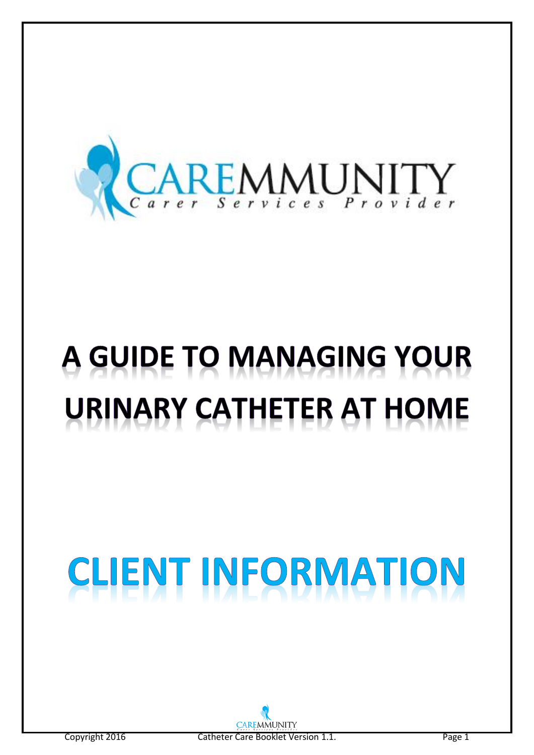

# A GUIDE TO MANAGING YOUR **URINARY CATHETER AT HOME**

# ENT INFORMATION CLI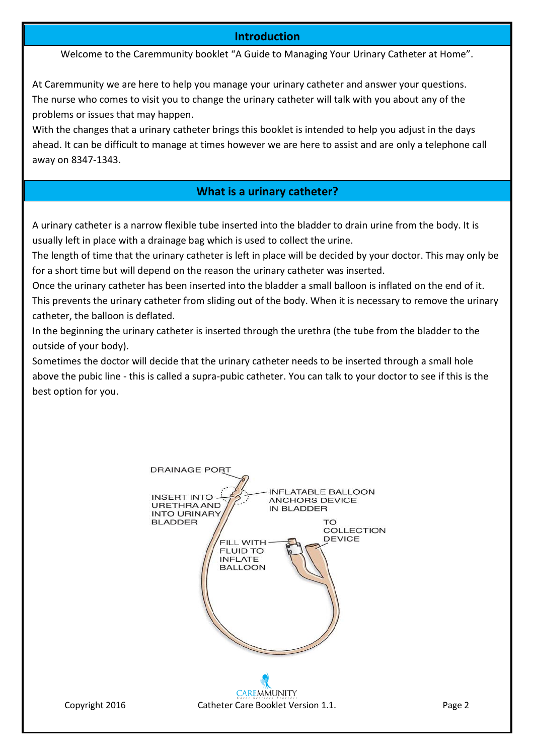#### **Introduction**

Welcome to the Caremmunity booklet "A Guide to Managing Your Urinary Catheter at Home".

At Caremmunity we are here to help you manage your urinary catheter and answer your questions. The nurse who comes to visit you to change the urinary catheter will talk with you about any of the problems or issues that may happen.

With the changes that a urinary catheter brings this booklet is intended to help you adjust in the days ahead. It can be difficult to manage at times however we are here to assist and are only a telephone call away on 8347-1343.

#### **What is a urinary catheter?**

A urinary catheter is a narrow flexible tube inserted into the bladder to drain urine from the body. It is usually left in place with a drainage bag which is used to collect the urine.

The length of time that the urinary catheter is left in place will be decided by your doctor. This may only be for a short time but will depend on the reason the urinary catheter was inserted.

Once the urinary catheter has been inserted into the bladder a small balloon is inflated on the end of it. This prevents the urinary catheter from sliding out of the body. When it is necessary to remove the urinary catheter, the balloon is deflated.

In the beginning the urinary catheter is inserted through the urethra (the tube from the bladder to the outside of your body).

Sometimes the doctor will decide that the urinary catheter needs to be inserted through a small hole above the pubic line - this is called a supra-pubic catheter. You can talk to your doctor to see if this is the best option for you.

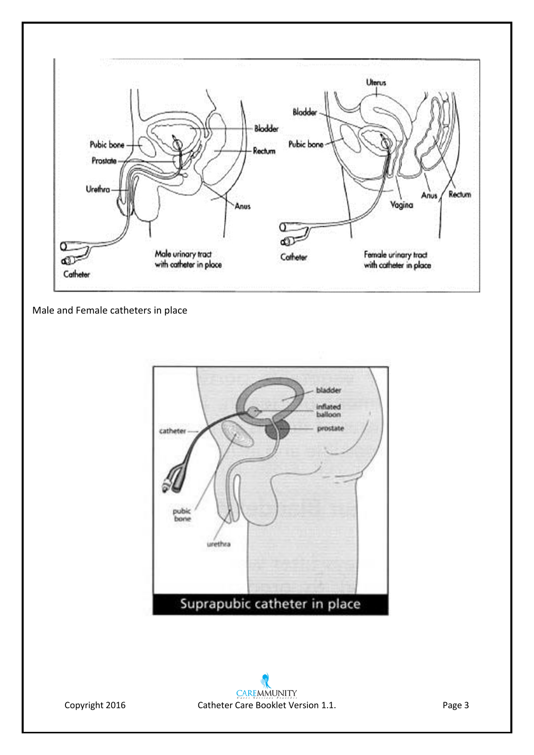

Male and Female catheters in place

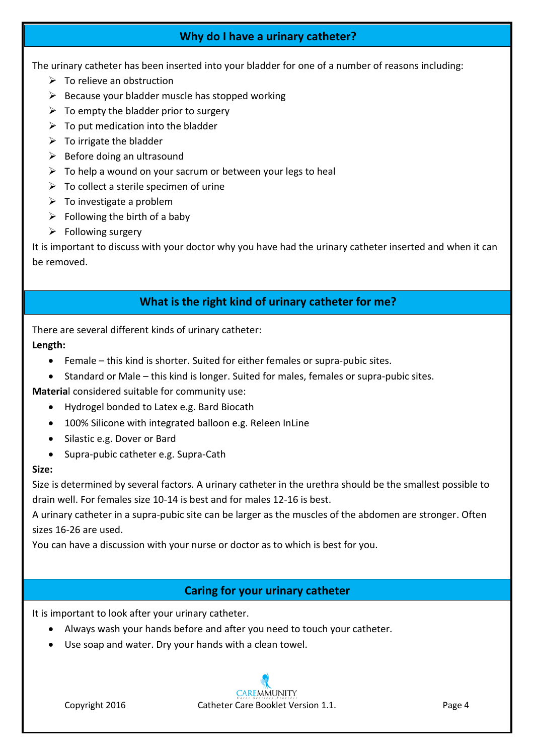# **Why do I have a urinary catheter?**

The urinary catheter has been inserted into your bladder for one of a number of reasons including:

- $\triangleright$  To relieve an obstruction
- $\triangleright$  Because your bladder muscle has stopped working
- $\triangleright$  To empty the bladder prior to surgery
- $\triangleright$  To put medication into the bladder
- $\triangleright$  To irrigate the bladder
- $\triangleright$  Before doing an ultrasound
- $\triangleright$  To help a wound on your sacrum or between your legs to heal
- $\triangleright$  To collect a sterile specimen of urine
- $\triangleright$  To investigate a problem
- $\triangleright$  Following the birth of a baby
- $\triangleright$  Following surgery

It is important to discuss with your doctor why you have had the urinary catheter inserted and when it can be removed.

# **What is the right kind of urinary catheter for me?**

There are several different kinds of urinary catheter:

#### **Length:**

- Female this kind is shorter. Suited for either females or supra-pubic sites.
- Standard or Male this kind is longer. Suited for males, females or supra-pubic sites.

**Materia**l considered suitable for community use:

- Hydrogel bonded to Latex e.g. Bard Biocath
- 100% Silicone with integrated balloon e.g. Releen InLine
- Silastic e.g. Dover or Bard
- Supra-pubic catheter e.g. Supra-Cath

#### **Size:**

Size is determined by several factors. A urinary catheter in the urethra should be the smallest possible to drain well. For females size 10-14 is best and for males 12-16 is best.

A urinary catheter in a supra-pubic site can be larger as the muscles of the abdomen are stronger. Often sizes 16-26 are used.

You can have a discussion with your nurse or doctor as to which is best for you.

# **Caring for your urinary catheter**

It is important to look after your urinary catheter.

- Always wash your hands before and after you need to touch your catheter.
- Use soap and water. Dry your hands with a clean towel.

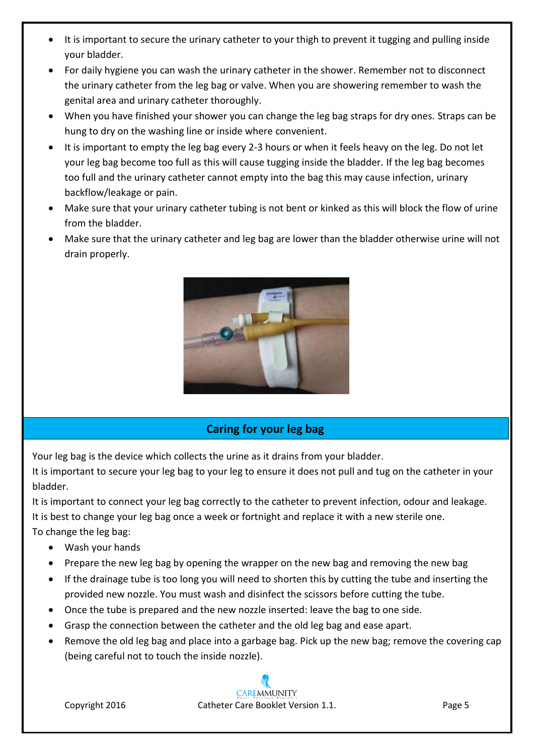- It is important to secure the urinary catheter to your thigh to prevent it tugging and pulling inside your bladder.
- For daily hygiene you can wash the urinary catheter in the shower. Remember not to disconnect the urinary catheter from the leg bag or valve. When you are showering remember to wash the genital area and urinary catheter thoroughly.
- When you have finished your shower you can change the leg bag straps for dry ones. Straps can be hung to dry on the washing line or inside where convenient.
- It is important to empty the leg bag every 2-3 hours or when it feels heavy on the leg. Do not let your leg bag become too full as this will cause tugging inside the bladder. If the leg bag becomes too full and the urinary catheter cannot empty into the bag this may cause infection, urinary backflow/leakage or pain.
- Make sure that your urinary catheter tubing is not bent or kinked as this will block the flow of urine from the bladder.
- Make sure that the urinary catheter and leg bag are lower than the bladder otherwise urine will not drain properly.



# **Caring for your leg bag**

Your leg bag is the device which collects the urine as it drains from your bladder.

It is important to secure your leg bag to your leg to ensure it does not pull and tug on the catheter in your bladder.

It is important to connect your leg bag correctly to the catheter to prevent infection, odour and leakage. It is important to connect your leg bag correctly to the catheter to prevent intection, babar and it is best to change your leg bag once a week or fortnight and replace it with a new sterile one. To change the leg bag:

- Wash your hands
- **•** Prepare the new leg bag by opening the wrapper on the new bag and removing the new bag
- If the drainage tube is too long you will need to shorten this by cutting the tube and inserting the provided new nozzle. You must wash and disinfect the scissors before cutting the tube.
- Once the tube is prepared and the new nozzle inserted: leave the bag to one side.
- Grasp the connection between the catheter and the old leg bag and ease apart.
- Remove the old leg bag and place into a garbage bag. Pick up the new bag; remove the covering cap (being careful not to touch the inside nozzle).

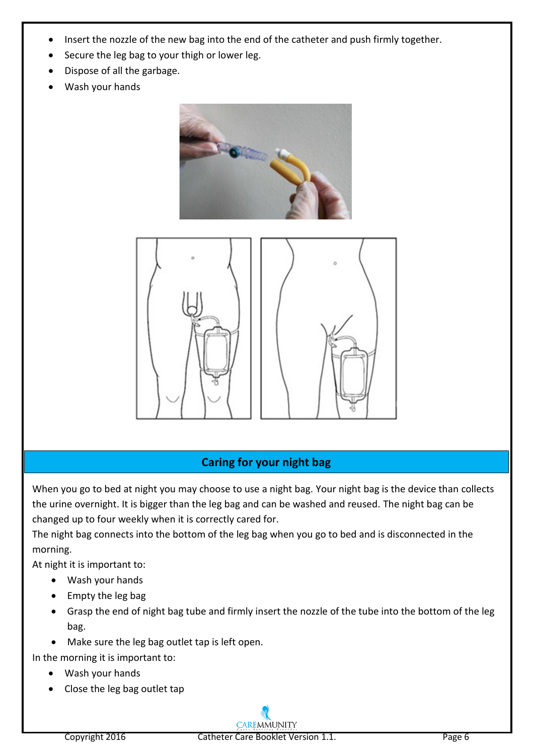- Insert the nozzle of the new bag into the end of the catheter and push firmly together.
- Secure the leg bag to your thigh or lower leg.
- Dispose of all the garbage.
- Wash your hands





# **Caring for your night bag**

When you go to bed at night you may choose to use a night bag. Your night bag is the device than collects the urine overnight. It is bigger than the leg bag and can be washed and reused. The night bag can be changed up to four weekly when it is correctly cared for.

The night bag connects into the bottom of the leg bag when you go to bed and is disconnected in the morning.

At night it is important to:

- Wash your hands
- $\bullet$  Empty the leg bag
- Grasp the end of night bag tube and firmly insert the nozzle of the tube into the bottom of the leg bag.
- Make sure the leg bag outlet tap is left open.
- In the morning it is important to:
	- Wash your hands
	- Close the leg bag outlet tap

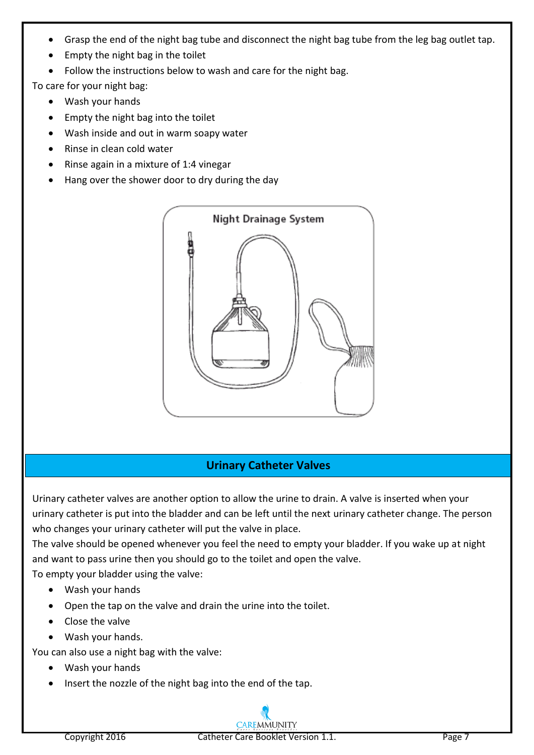- Grasp the end of the night bag tube and disconnect the night bag tube from the leg bag outlet tap.
- Empty the night bag in the toilet
- Follow the instructions below to wash and care for the night bag.

To care for your night bag:

- Wash your hands
- Empty the night bag into the toilet
- Wash inside and out in warm soapy water
- Rinse in clean cold water
- $\bullet$  Rinse again in a mixture of 1:4 vinegar
- Hang over the shower door to dry during the day



# **Urinary Catheter Valves**

Urinary catheter valves are another option to allow the urine to drain. A valve is inserted when your urinary catheter is put into the bladder and can be left until the next urinary catheter change. The person who changes your urinary catheter will put the valve in place.

The valve should be opened whenever you feel the need to empty your bladder. If you wake up at night and want to pass urine then you should go to the toilet and open the valve.

To empty your bladder using the valve:

- Wash your hands
- Open the tap on the valve and drain the urine into the toilet.
- Close the valve
- Wash your hands.

You can also use a night bag with the valve:

- Wash your hands
- Insert the nozzle of the night bag into the end of the tap.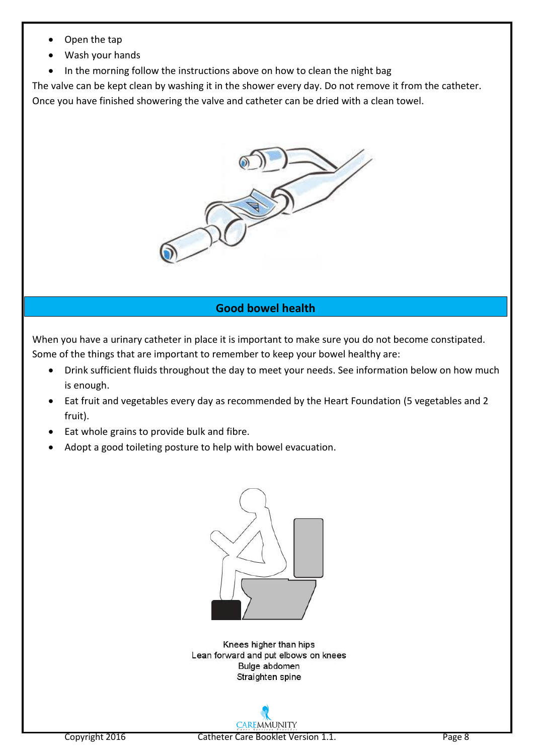- Open the tap
- Wash your hands
- In the morning follow the instructions above on how to clean the night bag

The valve can be kept clean by washing it in the shower every day. Do not remove it from the catheter.

Once you have finished showering the valve and catheter can be dried with a clean towel.



# **Good bowel health**

When you have a urinary catheter in place it is important to make sure you do not become constipated. Some of the things that are important to remember to keep your bowel healthy are:

- Drink sufficient fluids throughout the day to meet your needs. See information below on how much is enough.
- Eat fruit and vegetables every day as recommended by the Heart Foundation (5 vegetables and 2 fruit).
- Eat whole grains to provide bulk and fibre.
- Adopt a good toileting posture to help with bowel evacuation.



Knees higher than hips Lean forward and put elbows on knees Bulge abdomen Straighten spine

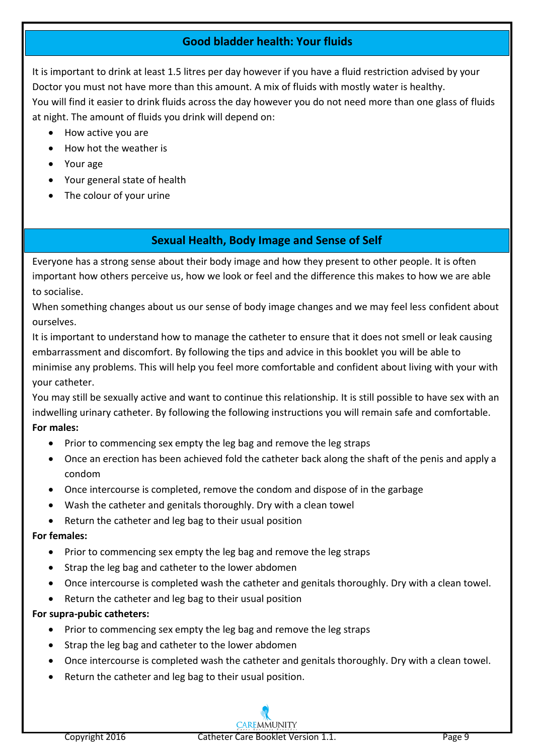# **Good bladder health: Your fluids**

It is important to drink at least 1.5 litres per day however if you have a fluid restriction advised by your Doctor you must not have more than this amount. A mix of fluids with mostly water is healthy. You will find it easier to drink fluids across the day however you do not need more than one glass of fluids at night. The amount of fluids you drink will depend on:

- How active you are
- How hot the weather is
- Your age
- Your general state of health
- The colour of your urine

# **Sexual Health, Body Image and Sense of Self**

Everyone has a strong sense about their body image and how they present to other people. It is often important how others perceive us, how we look or feel and the difference this makes to how we are able to socialise.

When something changes about us our sense of body image changes and we may feel less confident about ourselves.

It is important to understand how to manage the catheter to ensure that it does not smell or leak causing embarrassment and discomfort. By following the tips and advice in this booklet you will be able to minimise any problems. This will help you feel more comfortable and confident about living with your with your catheter.

You may still be sexually active and want to continue this relationship. It is still possible to have sex with an indwelling urinary catheter. By following the following instructions you will remain safe and comfortable. **For males:**

- Prior to commencing sex empty the leg bag and remove the leg straps
- Once an erection has been achieved fold the catheter back along the shaft of the penis and apply a condom
- Once intercourse is completed, remove the condom and dispose of in the garbage
- Wash the catheter and genitals thoroughly. Dry with a clean towel
- Return the catheter and leg bag to their usual position

# **For females:**

- Prior to commencing sex empty the leg bag and remove the leg straps
- Strap the leg bag and catheter to the lower abdomen
- Once intercourse is completed wash the catheter and genitals thoroughly. Dry with a clean towel.
- Return the catheter and leg bag to their usual position

# **For supra-pubic catheters:**

- Prior to commencing sex empty the leg bag and remove the leg straps
- Strap the leg bag and catheter to the lower abdomen
- Once intercourse is completed wash the catheter and genitals thoroughly. Dry with a clean towel.
- Return the catheter and leg bag to their usual position.